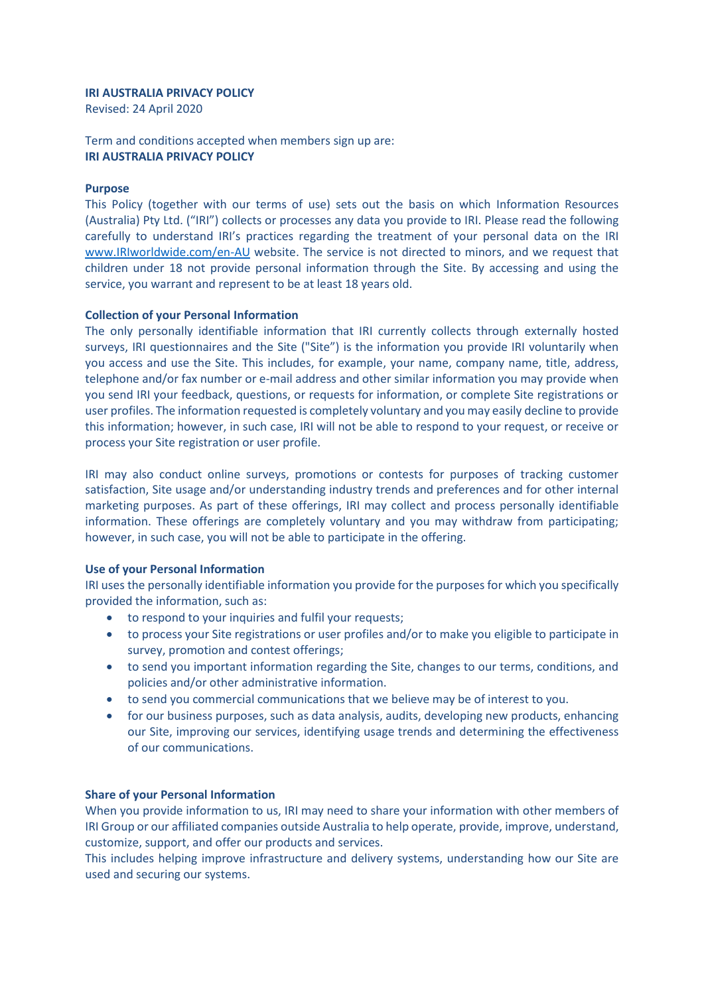# **IRI AUSTRALIA PRIVACY POLICY**

Revised: 24 April 2020

Term and conditions accepted when members sign up are: **IRI AUSTRALIA PRIVACY POLICY**

# **Purpose**

This Policy (together with our terms of use) sets out the basis on which Information Resources (Australia) Pty Ltd. ("IRI") collects or processes any data you provide to IRI. Please read the following carefully to understand IRI's practices regarding the treatment of your personal data on the IRI [www.IRIworldwide.com/en-AU](http://www.iriworldwide.com/en-AU) website. The service is not directed to minors, and we request that children under 18 not provide personal information through the Site. By accessing and using the service, you warrant and represent to be at least 18 years old.

# **Collection of your Personal Information**

The only personally identifiable information that IRI currently collects through externally hosted surveys, IRI questionnaires and the Site ("Site") is the information you provide IRI voluntarily when you access and use the Site. This includes, for example, your name, company name, title, address, telephone and/or fax number or e-mail address and other similar information you may provide when you send IRI your feedback, questions, or requests for information, or complete Site registrations or user profiles. The information requested is completely voluntary and you may easily decline to provide this information; however, in such case, IRI will not be able to respond to your request, or receive or process your Site registration or user profile.

IRI may also conduct online surveys, promotions or contests for purposes of tracking customer satisfaction, Site usage and/or understanding industry trends and preferences and for other internal marketing purposes. As part of these offerings, IRI may collect and process personally identifiable information. These offerings are completely voluntary and you may withdraw from participating; however, in such case, you will not be able to participate in the offering.

# **Use of your Personal Information**

IRI uses the personally identifiable information you provide for the purposes for which you specifically provided the information, such as:

- to respond to your inquiries and fulfil your requests;
- to process your Site registrations or user profiles and/or to make you eligible to participate in survey, promotion and contest offerings;
- to send you important information regarding the Site, changes to our terms, conditions, and policies and/or other administrative information.
- to send you commercial communications that we believe may be of interest to you.
- for our business purposes, such as data analysis, audits, developing new products, enhancing our Site, improving our services, identifying usage trends and determining the effectiveness of our communications.

# **Share of your Personal Information**

When you provide information to us, IRI may need to share your information with other members of IRI Group or our affiliated companies outside Australia to help operate, provide, improve, understand, customize, support, and offer our products and services.

This includes helping improve infrastructure and delivery systems, understanding how our Site are used and securing our systems.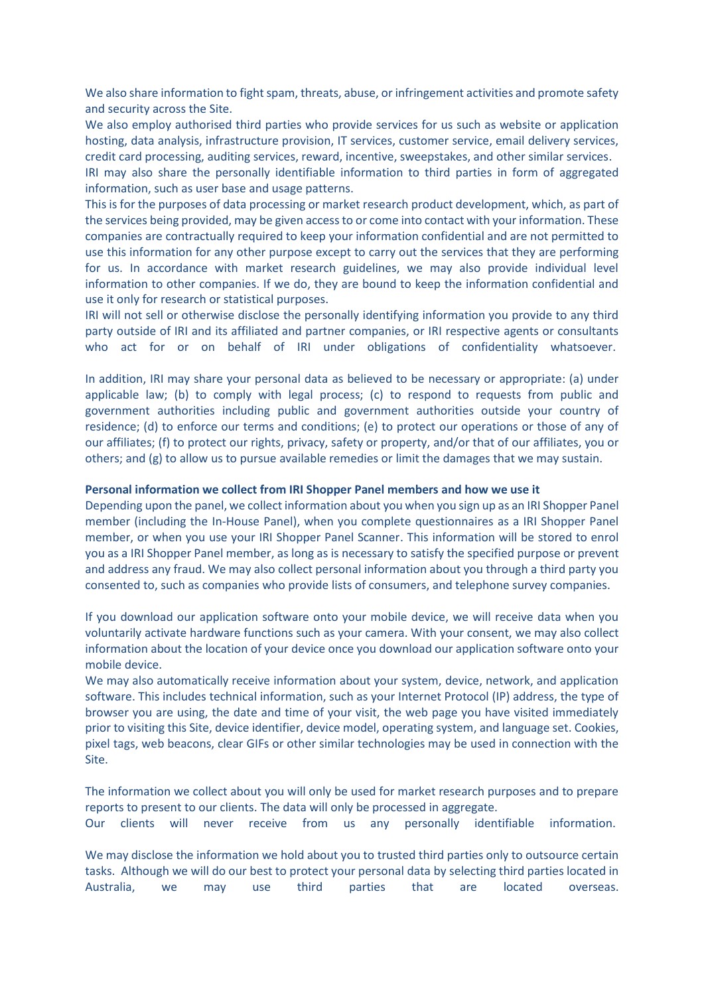We also share information to fight spam, threats, abuse, or infringement activities and promote safety and security across the Site.

We also employ authorised third parties who provide services for us such as website or application hosting, data analysis, infrastructure provision, IT services, customer service, email delivery services, credit card processing, auditing services, reward, incentive, sweepstakes, and other similar services.

IRI may also share the personally identifiable information to third parties in form of aggregated information, such as user base and usage patterns.

This is for the purposes of data processing or market research product development, which, as part of the services being provided, may be given access to or come into contact with your information. These companies are contractually required to keep your information confidential and are not permitted to use this information for any other purpose except to carry out the services that they are performing for us. In accordance with market research guidelines, we may also provide individual level information to other companies. If we do, they are bound to keep the information confidential and use it only for research or statistical purposes.

IRI will not sell or otherwise disclose the personally identifying information you provide to any third party outside of IRI and its affiliated and partner companies, or IRI respective agents or consultants who act for or on behalf of IRI under obligations of confidentiality whatsoever.

In addition, IRI may share your personal data as believed to be necessary or appropriate: (a) under applicable law; (b) to comply with legal process; (c) to respond to requests from public and government authorities including public and government authorities outside your country of residence; (d) to enforce our terms and conditions; (e) to protect our operations or those of any of our affiliates; (f) to protect our rights, privacy, safety or property, and/or that of our affiliates, you or others; and (g) to allow us to pursue available remedies or limit the damages that we may sustain.

#### **Personal information we collect from IRI Shopper Panel members and how we use it**

Depending upon the panel, we collect information about you when you sign up as an IRI Shopper Panel member (including the In-House Panel), when you complete questionnaires as a IRI Shopper Panel member, or when you use your IRI Shopper Panel Scanner. This information will be stored to enrol you as a IRI Shopper Panel member, as long as is necessary to satisfy the specified purpose or prevent and address any fraud. We may also collect personal information about you through a third party you consented to, such as companies who provide lists of consumers, and telephone survey companies.

If you download our application software onto your mobile device, we will receive data when you voluntarily activate hardware functions such as your camera. With your consent, we may also collect information about the location of your device once you download our application software onto your mobile device.

We may also automatically receive information about your system, device, network, and application software. This includes technical information, such as your Internet Protocol (IP) address, the type of browser you are using, the date and time of your visit, the web page you have visited immediately prior to visiting this Site, device identifier, device model, operating system, and language set. Cookies, pixel tags, web beacons, clear GIFs or other similar technologies may be used in connection with the Site.

The information we collect about you will only be used for market research purposes and to prepare reports to present to our clients. The data will only be processed in aggregate. Our clients will never receive from us any personally identifiable information.

We may disclose the information we hold about you to trusted third parties only to outsource certain tasks. Although we will do our best to protect your personal data by selecting third parties located in Australia, we may use third parties that are located overseas.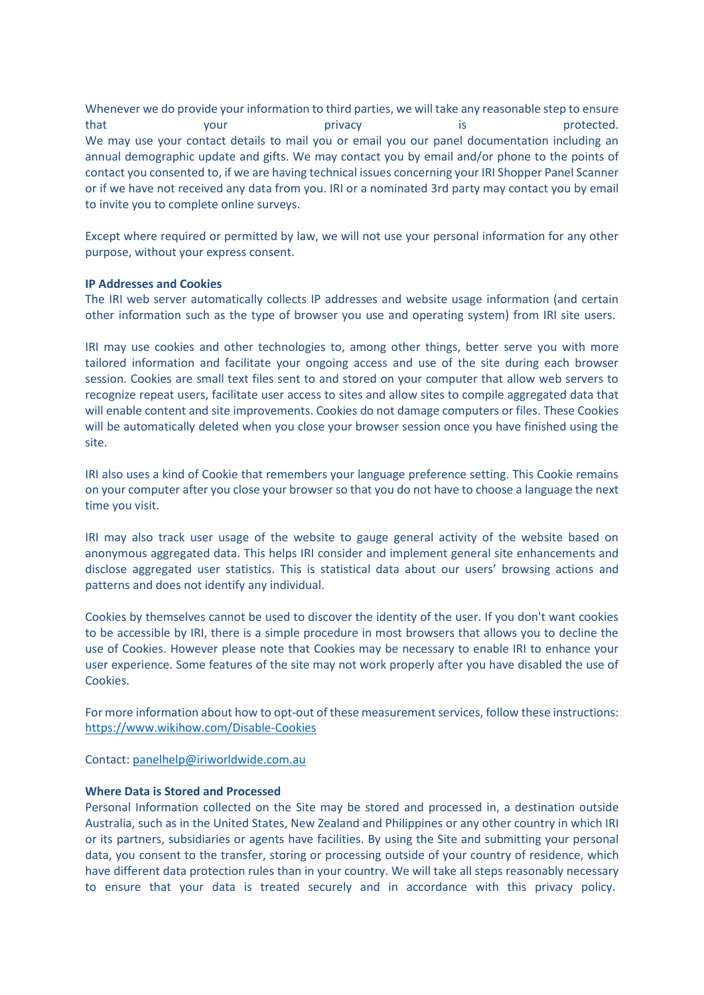Whenever we do provide your information to third parties, we will take any reasonable step to ensure that **that** your privacy is protected. We may use your contact details to mail you or email you our panel documentation including an annual demographic update and gifts. We may contact you by email and/or phone to the points of contact you consented to, if we are having technical issues concerning your IRI Shopper Panel Scanner or if we have not received any data from you. IRI or a nominated 3rd party may contact you by email to invite you to complete online surveys.

Except where required or permitted by law, we will not use your personal information for any other purpose, without your express consent.

# **IP Addresses and Cookies**

The IRI web server automatically collects IP addresses and website usage information (and certain other information such as the type of browser you use and operating system) from IRI site users.

IRI may use cookies and other technologies to, among other things, better serve you with more tailored information and facilitate your ongoing access and use of the site during each browser session. Cookies are small text files sent to and stored on your computer that allow web servers to recognize repeat users, facilitate user access to sites and allow sites to compile aggregated data that will enable content and site improvements. Cookies do not damage computers or files. These Cookies will be automatically deleted when you close your browser session once you have finished using the site.

IRI also uses a kind of Cookie that remembers your language preference setting. This Cookie remains on your computer after you close your browser so that you do not have to choose a language the next time you visit.

IRI may also track user usage of the website to gauge general activity of the website based on anonymous aggregated data. This helps IRI consider and implement general site enhancements and disclose aggregated user statistics. This is statistical data about our users' browsing actions and patterns and does not identify any individual.

Cookies by themselves cannot be used to discover the identity of the user. If you don't want cookies to be accessible by IRI, there is a simple procedure in most browsers that allows you to decline the use of Cookies. However please note that Cookies may be necessary to enable IRI to enhance your user experience. Some features of the site may not work properly after you have disabled the use of Cookies.

For more information about how to opt-out of these measurement services, follow these instructions: <https://www.wikihow.com/Disable-Cookies>

Contact: [panelhelp@iriworldwide.com.au](mailto:privacy@IRIworldwide.com.au) 

# **Where Data is Stored and Processed**

Personal Information collected on the Site may be stored and processed in, a destination outside Australia, such as in the United States, New Zealand and Philippines or any other country in which IRI or its partners, subsidiaries or agents have facilities. By using the Site and submitting your personal data, you consent to the transfer, storing or processing outside of your country of residence, which have different data protection rules than in your country. We will take all steps reasonably necessary to ensure that your data is treated securely and in accordance with this privacy policy.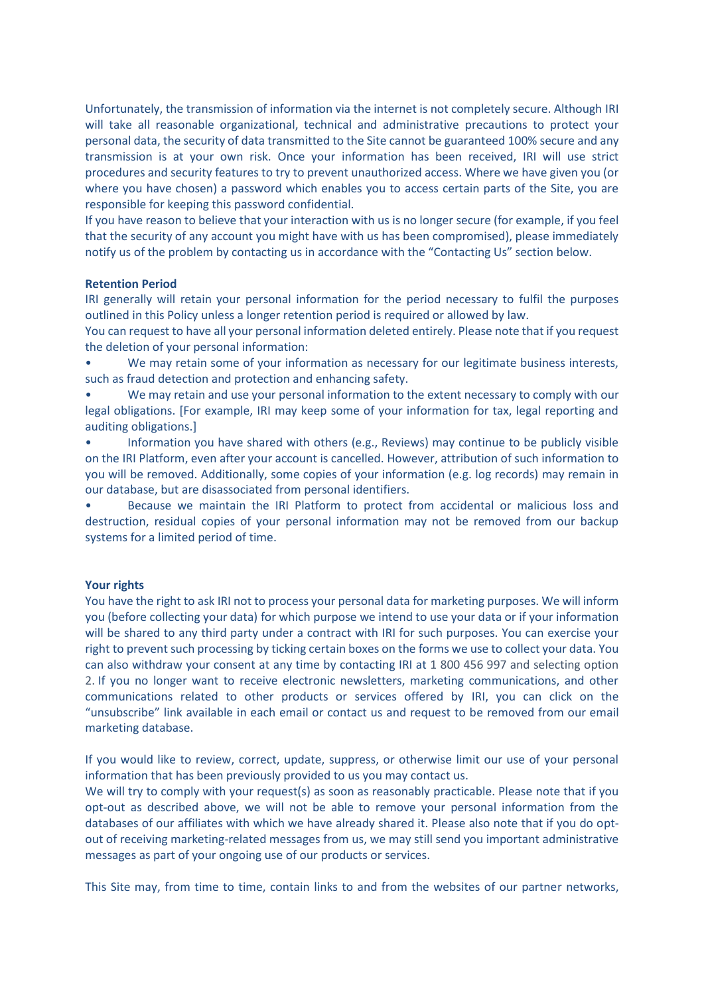Unfortunately, the transmission of information via the internet is not completely secure. Although IRI will take all reasonable organizational, technical and administrative precautions to protect your personal data, the security of data transmitted to the Site cannot be guaranteed 100% secure and any transmission is at your own risk. Once your information has been received, IRI will use strict procedures and security features to try to prevent unauthorized access. Where we have given you (or where you have chosen) a password which enables you to access certain parts of the Site, you are responsible for keeping this password confidential.

If you have reason to believe that your interaction with us is no longer secure (for example, if you feel that the security of any account you might have with us has been compromised), please immediately notify us of the problem by contacting us in accordance with the "Contacting Us" section below.

# **Retention Period**

IRI generally will retain your personal information for the period necessary to fulfil the purposes outlined in this Policy unless a longer retention period is required or allowed by law.

You can request to have all your personal information deleted entirely. Please note that if you request the deletion of your personal information:

We may retain some of your information as necessary for our legitimate business interests, such as fraud detection and protection and enhancing safety.

• We may retain and use your personal information to the extent necessary to comply with our legal obligations. [For example, IRI may keep some of your information for tax, legal reporting and auditing obligations.]

• Information you have shared with others (e.g., Reviews) may continue to be publicly visible on the IRI Platform, even after your account is cancelled. However, attribution of such information to you will be removed. Additionally, some copies of your information (e.g. log records) may remain in our database, but are disassociated from personal identifiers.

• Because we maintain the IRI Platform to protect from accidental or malicious loss and destruction, residual copies of your personal information may not be removed from our backup systems for a limited period of time.

# **Your rights**

You have the right to ask IRI not to process your personal data for marketing purposes. We will inform you (before collecting your data) for which purpose we intend to use your data or if your information will be shared to any third party under a contract with IRI for such purposes. You can exercise your right to prevent such processing by ticking certain boxes on the forms we use to collect your data. You can also withdraw your consent at any time by contacting IRI at 1 800 456 997 and selecting option 2. If you no longer want to receive electronic newsletters, marketing communications, and other communications related to other products or services offered by IRI, you can click on the "unsubscribe" link available in each email or contact us and request to be removed from our email marketing database.

If you would like to review, correct, update, suppress, or otherwise limit our use of your personal information that has been previously provided to us you may contact us.

We will try to comply with your request(s) as soon as reasonably practicable. Please note that if you opt-out as described above, we will not be able to remove your personal information from the databases of our affiliates with which we have already shared it. Please also note that if you do optout of receiving marketing-related messages from us, we may still send you important administrative messages as part of your ongoing use of our products or services.

This Site may, from time to time, contain links to and from the websites of our partner networks,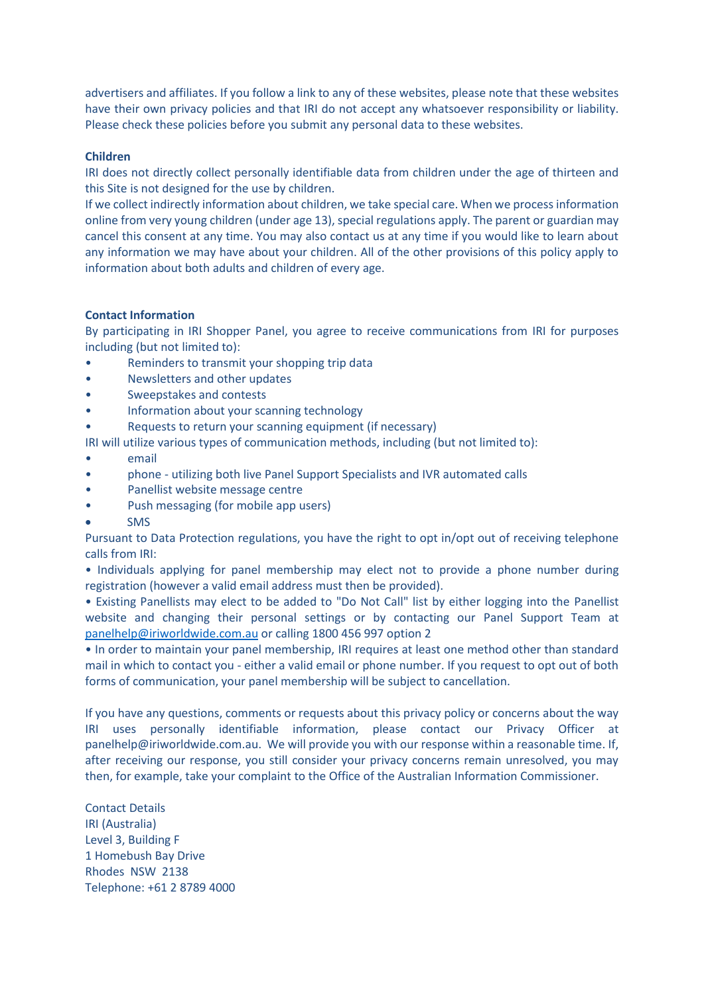advertisers and affiliates. If you follow a link to any of these websites, please note that these websites have their own privacy policies and that IRI do not accept any whatsoever responsibility or liability. Please check these policies before you submit any personal data to these websites.

# **Children**

IRI does not directly collect personally identifiable data from children under the age of thirteen and this Site is not designed for the use by children.

If we collect indirectly information about children, we take special care. When we processinformation online from very young children (under age 13), special regulations apply. The parent or guardian may cancel this consent at any time. You may also contact us at any time if you would like to learn about any information we may have about your children. All of the other provisions of this policy apply to information about both adults and children of every age.

# **Contact Information**

By participating in IRI Shopper Panel, you agree to receive communications from IRI for purposes including (but not limited to):

- Reminders to transmit your shopping trip data
- Newsletters and other updates
- Sweepstakes and contests
- Information about your scanning technology
- Requests to return your scanning equipment (if necessary)

IRI will utilize various types of communication methods, including (but not limited to):

- email
- phone utilizing both live Panel Support Specialists and IVR automated calls
- Panellist website message centre
- Push messaging (for mobile app users)
- SMS

Pursuant to Data Protection regulations, you have the right to opt in/opt out of receiving telephone calls from IRI:

• Individuals applying for panel membership may elect not to provide a phone number during registration (however a valid email address must then be provided).

• Existing Panellists may elect to be added to "Do Not Call" list by either logging into the Panellist website and changing their personal settings or by contacting our Panel Support Team at [panelhelp@iriworldwide.com.au](mailto:panelhelp@iriworldwide.com.au) or calling 1800 456 997 option 2

• In order to maintain your panel membership, IRI requires at least one method other than standard mail in which to contact you - either a valid email or phone number. If you request to opt out of both forms of communication, your panel membership will be subject to cancellation.

If you have any questions, comments or requests about this privacy policy or concerns about the way IRI uses personally identifiable information, please contact our Privacy Officer at panelhelp@iriworldwide.com.au. We will provide you with our response within a reasonable time. If, after receiving our response, you still consider your privacy concerns remain unresolved, you may then, for example, take your complaint to the Office of the Australian Information Commissioner.

Contact Details IRI (Australia) Level 3, Building F 1 Homebush Bay Drive Rhodes NSW 2138 Telephone: +61 2 8789 4000